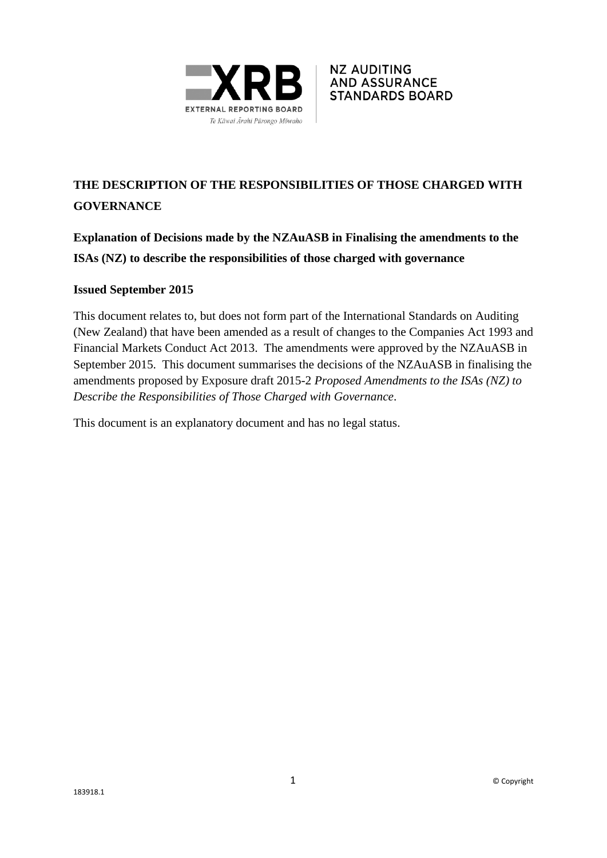



# **THE DESCRIPTION OF THE RESPONSIBILITIES OF THOSE CHARGED WITH GOVERNANCE**

**Explanation of Decisions made by the NZAuASB in Finalising the amendments to the ISAs (NZ) to describe the responsibilities of those charged with governance**

## **Issued September 2015**

This document relates to, but does not form part of the International Standards on Auditing (New Zealand) that have been amended as a result of changes to the Companies Act 1993 and Financial Markets Conduct Act 2013. The amendments were approved by the NZAuASB in September 2015. This document summarises the decisions of the NZAuASB in finalising the amendments proposed by Exposure draft 2015-2 *Proposed Amendments to the ISAs (NZ) to Describe the Responsibilities of Those Charged with Governance*.

This document is an explanatory document and has no legal status.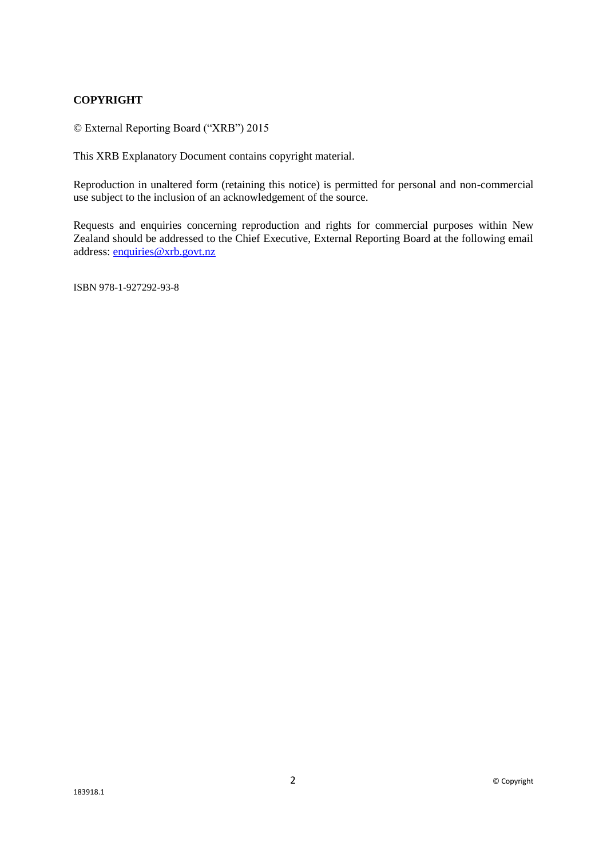#### **COPYRIGHT**

© External Reporting Board ("XRB") 2015

This XRB Explanatory Document contains copyright material.

Reproduction in unaltered form (retaining this notice) is permitted for personal and non-commercial use subject to the inclusion of an acknowledgement of the source.

Requests and enquiries concerning reproduction and rights for commercial purposes within New Zealand should be addressed to the Chief Executive, External Reporting Board at the following email address: [enquiries@xrb.govt.nz](mailto:enquiries@xrb.govt.nz)

ISBN 978-1-927292-93-8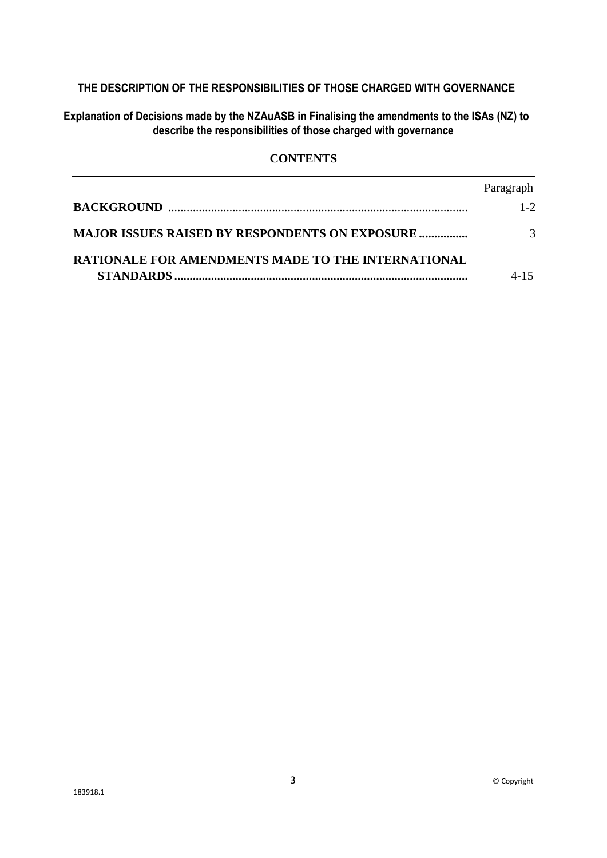## **THE DESCRIPTION OF THE RESPONSIBILITIES OF THOSE CHARGED WITH GOVERNANCE**

**Explanation of Decisions made by the NZAuASB in Finalising the amendments to the ISAs (NZ) to describe the responsibilities of those charged with governance**

## **CONTENTS**

|                                                           | Paragraph |
|-----------------------------------------------------------|-----------|
|                                                           | $1 - 2$   |
| <b>MAJOR ISSUES RAISED BY RESPONDENTS ON EXPOSURE </b>    |           |
| <b>RATIONALE FOR AMENDMENTS MADE TO THE INTERNATIONAL</b> |           |
|                                                           |           |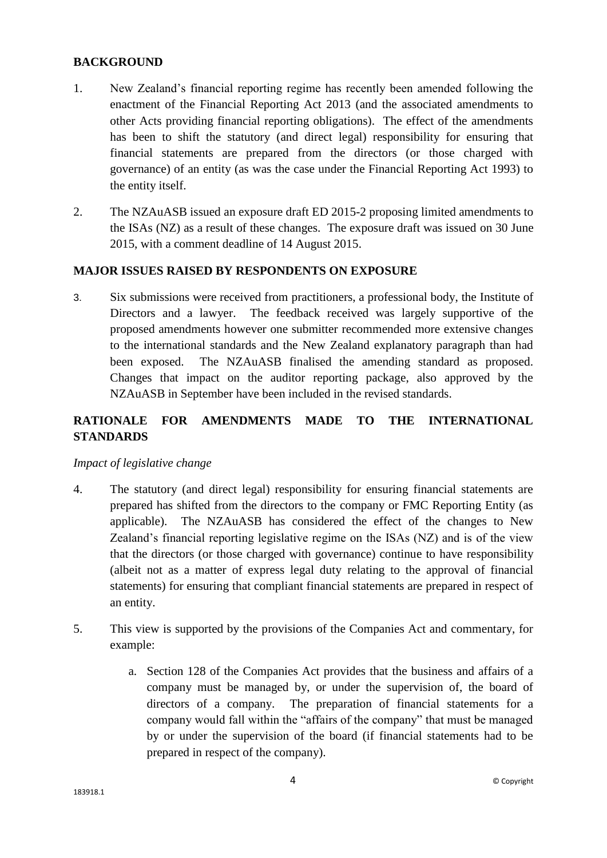#### **BACKGROUND**

- 1. New Zealand's financial reporting regime has recently been amended following the enactment of the Financial Reporting Act 2013 (and the associated amendments to other Acts providing financial reporting obligations). The effect of the amendments has been to shift the statutory (and direct legal) responsibility for ensuring that financial statements are prepared from the directors (or those charged with governance) of an entity (as was the case under the Financial Reporting Act 1993) to the entity itself.
- 2. The NZAuASB issued an exposure draft ED 2015-2 proposing limited amendments to the ISAs (NZ) as a result of these changes. The exposure draft was issued on 30 June 2015, with a comment deadline of 14 August 2015.

## **MAJOR ISSUES RAISED BY RESPONDENTS ON EXPOSURE**

3. Six submissions were received from practitioners, a professional body, the Institute of Directors and a lawyer. The feedback received was largely supportive of the proposed amendments however one submitter recommended more extensive changes to the international standards and the New Zealand explanatory paragraph than had been exposed. The NZAuASB finalised the amending standard as proposed. Changes that impact on the auditor reporting package, also approved by the NZAuASB in September have been included in the revised standards.

# **RATIONALE FOR AMENDMENTS MADE TO THE INTERNATIONAL STANDARDS**

#### *Impact of legislative change*

- 4. The statutory (and direct legal) responsibility for ensuring financial statements are prepared has shifted from the directors to the company or FMC Reporting Entity (as applicable). The NZAuASB has considered the effect of the changes to New Zealand's financial reporting legislative regime on the ISAs (NZ) and is of the view that the directors (or those charged with governance) continue to have responsibility (albeit not as a matter of express legal duty relating to the approval of financial statements) for ensuring that compliant financial statements are prepared in respect of an entity.
- 5. This view is supported by the provisions of the Companies Act and commentary, for example:
	- a. Section 128 of the Companies Act provides that the business and affairs of a company must be managed by, or under the supervision of, the board of directors of a company. The preparation of financial statements for a company would fall within the "affairs of the company" that must be managed by or under the supervision of the board (if financial statements had to be prepared in respect of the company).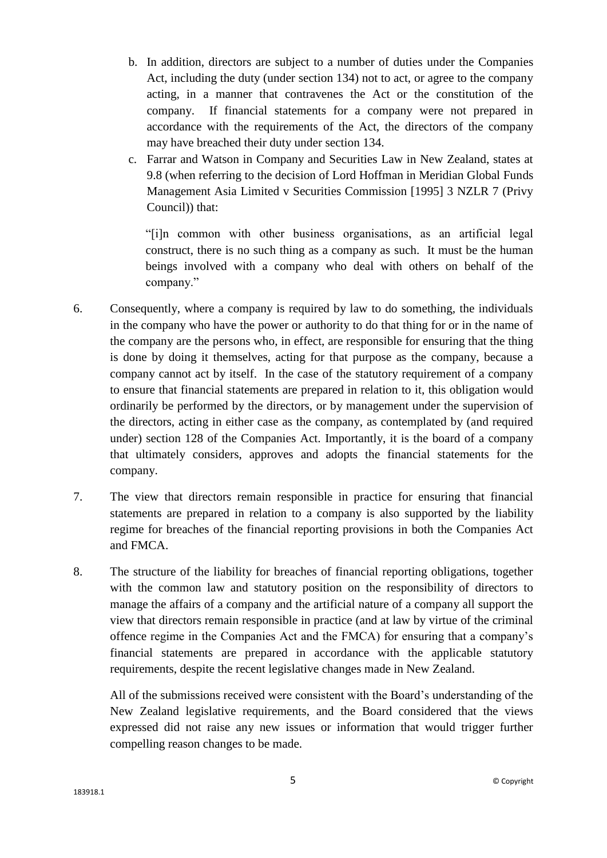- b. In addition, directors are subject to a number of duties under the Companies Act, including the duty (under section 134) not to act, or agree to the company acting, in a manner that contravenes the Act or the constitution of the company. If financial statements for a company were not prepared in accordance with the requirements of the Act, the directors of the company may have breached their duty under section 134.
- c. Farrar and Watson in Company and Securities Law in New Zealand, states at 9.8 (when referring to the decision of Lord Hoffman in Meridian Global Funds Management Asia Limited v Securities Commission [1995] 3 NZLR 7 (Privy Council)) that:

"[i]n common with other business organisations, as an artificial legal construct, there is no such thing as a company as such. It must be the human beings involved with a company who deal with others on behalf of the company."

- 6. Consequently, where a company is required by law to do something, the individuals in the company who have the power or authority to do that thing for or in the name of the company are the persons who, in effect, are responsible for ensuring that the thing is done by doing it themselves, acting for that purpose as the company, because a company cannot act by itself. In the case of the statutory requirement of a company to ensure that financial statements are prepared in relation to it, this obligation would ordinarily be performed by the directors, or by management under the supervision of the directors, acting in either case as the company, as contemplated by (and required under) section 128 of the Companies Act. Importantly, it is the board of a company that ultimately considers, approves and adopts the financial statements for the company.
- 7. The view that directors remain responsible in practice for ensuring that financial statements are prepared in relation to a company is also supported by the liability regime for breaches of the financial reporting provisions in both the Companies Act and FMCA.
- 8. The structure of the liability for breaches of financial reporting obligations, together with the common law and statutory position on the responsibility of directors to manage the affairs of a company and the artificial nature of a company all support the view that directors remain responsible in practice (and at law by virtue of the criminal offence regime in the Companies Act and the FMCA) for ensuring that a company's financial statements are prepared in accordance with the applicable statutory requirements, despite the recent legislative changes made in New Zealand.

All of the submissions received were consistent with the Board's understanding of the New Zealand legislative requirements, and the Board considered that the views expressed did not raise any new issues or information that would trigger further compelling reason changes to be made.

5 © Copyright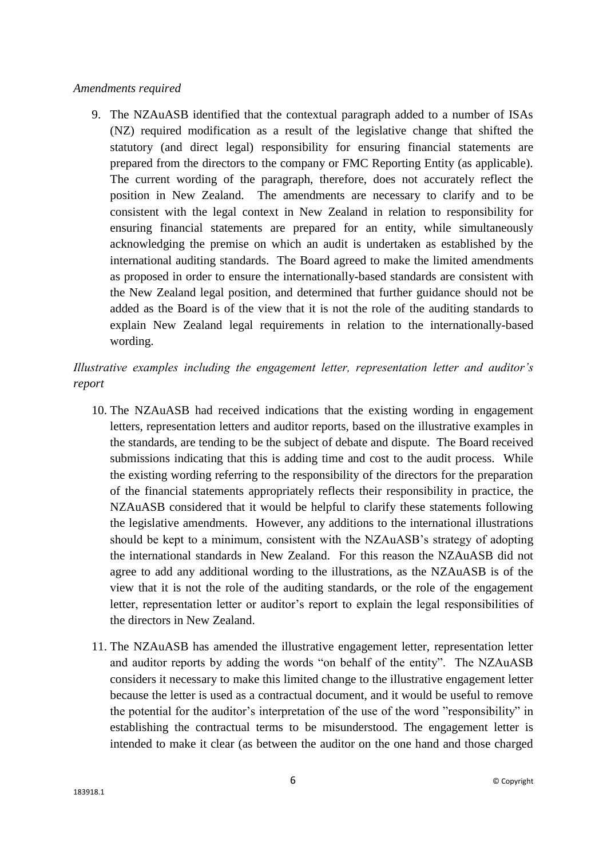#### *Amendments required*

9. The NZAuASB identified that the contextual paragraph added to a number of ISAs (NZ) required modification as a result of the legislative change that shifted the statutory (and direct legal) responsibility for ensuring financial statements are prepared from the directors to the company or FMC Reporting Entity (as applicable). The current wording of the paragraph, therefore, does not accurately reflect the position in New Zealand. The amendments are necessary to clarify and to be consistent with the legal context in New Zealand in relation to responsibility for ensuring financial statements are prepared for an entity, while simultaneously acknowledging the premise on which an audit is undertaken as established by the international auditing standards. The Board agreed to make the limited amendments as proposed in order to ensure the internationally-based standards are consistent with the New Zealand legal position, and determined that further guidance should not be added as the Board is of the view that it is not the role of the auditing standards to explain New Zealand legal requirements in relation to the internationally-based wording.

# *Illustrative examples including the engagement letter, representation letter and auditor's report*

- 10. The NZAuASB had received indications that the existing wording in engagement letters, representation letters and auditor reports, based on the illustrative examples in the standards, are tending to be the subject of debate and dispute. The Board received submissions indicating that this is adding time and cost to the audit process. While the existing wording referring to the responsibility of the directors for the preparation of the financial statements appropriately reflects their responsibility in practice, the NZAuASB considered that it would be helpful to clarify these statements following the legislative amendments. However, any additions to the international illustrations should be kept to a minimum, consistent with the NZAuASB's strategy of adopting the international standards in New Zealand. For this reason the NZAuASB did not agree to add any additional wording to the illustrations, as the NZAuASB is of the view that it is not the role of the auditing standards, or the role of the engagement letter, representation letter or auditor's report to explain the legal responsibilities of the directors in New Zealand.
- 11. The NZAuASB has amended the illustrative engagement letter, representation letter and auditor reports by adding the words "on behalf of the entity". The NZAuASB considers it necessary to make this limited change to the illustrative engagement letter because the letter is used as a contractual document, and it would be useful to remove the potential for the auditor's interpretation of the use of the word "responsibility" in establishing the contractual terms to be misunderstood. The engagement letter is intended to make it clear (as between the auditor on the one hand and those charged